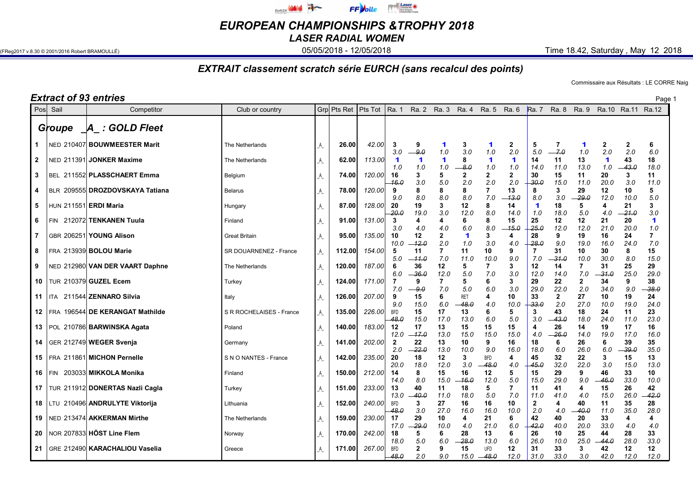

EUROPEAN CHAMPIONSHIPS &TROPHY 2018

LASER RADIAL WOMEN

(FReg2017 v.8.30 © 2001/2016 Robert BRAMOULLÉ) **05/05/2018 - 05/05/2018 - 12/05/2018** Time 18.42, Saturday , May 12 2018

## EXTRAIT classement scratch série EURCH (sans recalcul des points)

Commissaire aux Résultats : LE CORRE Naig

|                     |            | <b>Extract of 93 entries</b>                                      |                                 |             |                  |                  |                                |                     |                  |                           |                       |                     |                    |                             |                       |                             |                         | Page 1              |
|---------------------|------------|-------------------------------------------------------------------|---------------------------------|-------------|------------------|------------------|--------------------------------|---------------------|------------------|---------------------------|-----------------------|---------------------|--------------------|-----------------------------|-----------------------|-----------------------------|-------------------------|---------------------|
| Posl Sail           |            | Competitor                                                        | Club or country                 |             | Grp Pts Ret      | Pts Tot          | Ra. 1                          |                     | Ra. 2 Ra. 3      | Ra. 4                     | Ra. 5                 | Ra. 6               | <b>Ra.</b> 7       | Ra. 8                       | Ra. 9                 | Ra.10                       | Ra.11 Ra.12             |                     |
|                     | Groupe     | A : GOLD Fleet                                                    |                                 |             |                  |                  |                                |                     |                  |                           |                       |                     |                    |                             |                       |                             |                         |                     |
| 1                   |            | NED 210407 BOUWMEESTER Marit                                      | The Netherlands                 | A           | 26.00            | 42.00            | 3<br>3.0                       | 9<br>-9.0           | 1<br>1.0         | 3<br>3.0                  | 1<br>1.0              | $\mathbf{2}$<br>2.0 | 5<br>5.0           | 7.0                         | 1<br>1.0              | 2<br>2.0                    | 2<br>2.0                | 6<br>6.0            |
| $\mathbf{2}$        |            | NED 211391 JONKER Maxime                                          | The Netherlands                 | A           | 62.00            | 113.00           | -1<br>1.0                      | 1<br>1.0            | 1<br>1.0         | 8<br>-8.0                 | 1<br>1.0              | 1<br>1.0            | 14<br>14.0         | 11<br>11.0                  | 13<br>13.0            | $\blacktriangleleft$<br>1.0 | 43<br>43.0              | 18<br>18.0          |
| 3                   |            | BEL 211552 PLASSCHAERT Emma                                       | Belgium                         | _A_         | 74.00            | 120.00           | 16<br>-16.0                    | 3<br>3.0            | 5<br>5.0         | $\mathbf{2}$<br>2.0       | $\overline{2}$<br>2.0 | $\mathbf{2}$<br>2.0 | 30<br>30.0         | 15<br>15.0                  | 11<br>11.0            | 20<br>20.0                  | 3<br>3.0                | 11<br>11.0          |
| 4                   |            | BLR 209555 DROZDOVSKAYA Tatiana                                   | <b>Belarus</b>                  | A           | 78.00            | 120.00           | 9<br>9.0                       | 8<br>8.0            | 8<br>8.0         | 8<br>8.0                  | 7<br>7.0              | 13<br>13.0          | 8<br>8.0           | 3<br>3.0                    | 29<br>29.0            | 12<br>12.0                  | 10<br>10.0              | 5<br>5.0            |
| 5                   |            | HUN 211551 ERDI Maria                                             | Hungary                         | _A_         | 87.00            | 128.00           | 20<br>-20.                     | 19<br>19.0          | 3<br>3.0         | 12<br>12.0                | 8<br>8.0              | 14<br>14.0          | 1<br>1.0           | 18<br>18.0                  | 5<br>5.0              | 4<br>4.0                    | 21<br>-21.0             | 3<br>3.0<br>1       |
| 6<br>$\overline{7}$ | <b>FIN</b> | 212072 TENKANEN Tuula<br>GBR 206251 YOUNG Alison                  | Finland<br><b>Great Britain</b> | _A_<br>A    | 91.00<br>95.00   | 131.00<br>135.00 | 3<br>3.0<br>10                 | 4<br>4.0<br>12      | 4<br>4.0<br>2    | 6<br>6.0<br>1             | 8<br>8.0<br>3         | 15<br>15.0<br>4     | 25<br>25.0<br>28   | 12<br>12.0<br>9             | 12<br>12.0<br>19      | 21<br>21.0<br>16            | 20<br><b>20.0</b><br>24 | 1.0<br>7            |
| 8                   |            | FRA 213939 BOLOU Marie                                            | SR DOUARNENEZ - France          | A           | 112.00           | 154.00           | 10.0<br>5                      | -12.0<br>11         | 2.0<br>7         | 1.0<br>11                 | 3.0<br>10             | 4.0<br>9            | 28.0<br>7          | 9.0<br>31                   | 19.0<br>10            | 16.0<br>30                  | 24.0<br>8               | 7.0<br>15           |
| 9                   |            | NED 212980 VAN DER VAART Daphne                                   | The Netherlands                 | A           | 120.00           | 187.00           | 5.0<br>6                       | $-11.0$<br>36       | 7.0<br>12        | 11.0<br>5                 | 10.0<br>7             | 9.0<br>3            | 7.0<br>12          | -31.0<br>14                 | 10.0<br>7             | 30.0<br>31                  | 8.0<br>25               | 15.0<br>29          |
| 10                  |            | TUR 210379 GUZEL Ecem                                             | Turkey                          | _A          | 124.00           | 171.00           | 6.0                            | —36.0<br>9          | 12.0             | 5.0<br>5.                 | 7.0<br>6              | 3.0<br>3            | 12.0<br>29         | 14.0<br>22                  | 7.0<br>$\overline{2}$ | -31.0<br>34                 | 25.0<br>9               | 29.0<br>38          |
| 11 $ITA$            |            | 211544 ZENNARO Silvia                                             | Italy                           | _A_         | 126.00           | 207.00           | 7.0<br>9<br>9.0                | -9.0<br>15<br>15.0  | 7.0<br>6<br>6.0  | 5.0<br><b>RET</b><br>48.0 | 6.0<br>4<br>4.0       | 3.0<br>10<br>10.0   | 29.0<br>33<br>33.0 | 22.0<br>$\mathbf{2}$<br>2.0 | 2.0<br>27<br>27.0     | 34.0<br>10<br>10.0          | 9.0<br>19<br>19.0       | -38.0<br>24<br>24.0 |
|                     |            | 12   FRA 196544 DE KERANGAT Mathilde                              | S R ROCHELAISES - France        | A           | 135.00           | 226.00           | <b>BFD</b><br>-48.0            | 15<br>15.0          | 17<br>17.0       | 13<br>13.0                | 6<br>6.0              | 5<br>5.0            | 3<br>3.0           | 43<br>43.0                  | 18<br>18.0            | 24<br>24.0                  | 11<br>11.0              | 23<br>23.0          |
|                     |            | 13   POL 210786 BARWINSKA Agata                                   | Poland                          | A           | 140.00           | 183.00           | 12<br>12.0                     | 17<br>-17.0         | 13<br>13.0       | 15<br>15.0                | 15<br>15.0            | 15<br>15.0          | 4<br>4.0           | 26<br>-26.0                 | 14<br>14.0            | 19<br>19.0                  | 17<br>17.0              | 16<br>16.0          |
|                     |            | 14   GER 212749 WEGER Svenja                                      | Germany                         | A           | 141.00           | 202.00           | $\overline{\mathbf{2}}$<br>2.0 | 22<br>22.0          | 13<br>13.0       | 10<br>10.0                | 9<br>9.0              | 16<br>16.0          | 18<br>18.0         | 6<br>6.0                    | 26<br>26.0            | 6<br>6.0                    | 39<br>-39.0             | 35<br>35.0          |
|                     |            | 15   FRA 211861  MICHON Pernelle                                  | S N O NANTES - France           | _A_         | 142.00           | 235.00           | 20<br>20.0                     | 18<br>18.0          | 12<br>12.0       | 3<br>3.0                  | <b>BFD</b><br>48.0    | 4<br>4.0            | 45<br>45.0         | 32<br>32.0                  | 22<br>22.0            | 3<br>3.0                    | 15<br>15.0              | 13<br>13.0          |
| 16 $ FIN$           |            | 203033 MIKKOLA Monika                                             | Finland                         | A           | 150.00           | 212.00           | 14<br>14.                      | 8<br>8.0            | 15<br>15.0       | 16<br>16.0                | 12<br>12.0            | 5<br>5.0            | 15<br>15.0         | 29<br>29.0                  | 9<br>9.0              | 46<br>46.0                  | 33<br>33.0              | 10<br>10.0          |
|                     |            | 17   TUR 211912 DONERTAS Nazli Cagla                              | Turkey                          | _A_         | 151.00           | 233.00           | 13<br>13.0                     | 40<br>40.0          | 11<br>11.0       | 18<br>18.0                | 5<br>5.0              | 7.0                 | 11<br>11.0         | 41<br>41.0                  | 4<br>4.0              | 15<br>15.0                  | 26<br>26.0              | 42<br>42.0          |
| 19                  |            | 18   LTU 210496 ANDRULYTE Viktorija<br>NED 213474 AKKERMAN Mirthe | Lithuania<br>The Netherlands    | $\_$ A $\_$ | 152.00<br>159.00 | 240.00<br>230.00 | <b>BFD</b><br>-48.0<br>-17     | 3<br>3.0<br>29      | 27<br>27.0<br>10 | 16<br>16.0<br>4           | 16<br>16.0<br>21      | 10<br>10.0<br>6     | 2<br>2.0<br>42     | 4<br>4.0<br>40              | 40<br>40.0<br>20      | 11<br>11.0<br>33            | 35<br>35.0<br>4         | 28<br>28.0<br>4     |
| 20                  |            | NOR 207833 HÖST Line Flem                                         | Norway                          | _A_<br>_A_  | 170.00           | 242.00           | 17.0<br>18                     | -29.0<br>5          | 10.0<br>6        | 4.0<br>28                 | 21<br>.0<br>13        | 6.0<br>6            | 42.0<br>26         | 40.0<br>10                  | 20.0<br>25            | 33.0<br>44                  | 4.0<br>28               | 4.0<br>33           |
|                     |            | 21   GRE 212490 KARACHALIOU Vaselia                               | Greece                          | _A_         | 171.00           | 267.00           | 18.<br><b>BFD</b>              | 5.0<br>$\mathbf{2}$ | 6.0<br>9         | 28.0<br>15                | 13.0<br><b>UFD</b>    | 6.0<br>12           | 26.0<br>31         | 10.0<br>33                  | 25.0<br>3             | -44.0<br>42                 | 28.C<br>12              | 33.0<br>12          |
|                     |            |                                                                   |                                 |             |                  |                  | -48.0                          | 2.0                 | 9.0              | 15.0                      | $-48.0$               | 12.0                | 31.0               | 33.0                        | 3.0                   | 42.0                        | 12.0                    | 12.0                |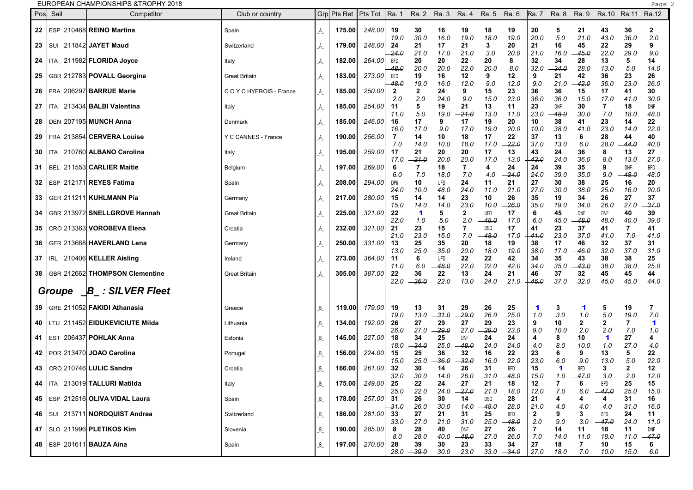**EUROPEAN CHAMPIONSHIPS &TROPHY 2018** 

| ESP 210468 REINO Martina<br>22<br>Spain<br>23   SUI 211842 JAYET Maud<br>Switzerland | A<br>A<br>A | 175.00<br>179.00 | 248.00 | 19                   | 30                          | 16                  | 19                    | 18                    | 19                          | 20                  | 5                  | 21                 | 43                          |                    |                     |
|--------------------------------------------------------------------------------------|-------------|------------------|--------|----------------------|-----------------------------|---------------------|-----------------------|-----------------------|-----------------------------|---------------------|--------------------|--------------------|-----------------------------|--------------------|---------------------|
|                                                                                      |             |                  |        |                      |                             |                     |                       |                       |                             |                     |                    |                    |                             | 36                 | $\mathbf{2}$        |
|                                                                                      |             |                  | 248.00 | 19.0<br>24           | -30.0<br>21                 | 16.0<br>17          | 19.0<br>21            | 18.0<br>3             | 19.0<br>20                  | 20.0<br>21          | 5.0<br>16          | 21.0<br>45         | -43.0<br>22                 | 36.0<br>29         | 2.0<br>9            |
| 24   ITA 211982 FLORIDA Joyce<br>Italy                                               |             | 182.00           | 264.00 | 24.0<br>BFD          | 21.0<br>20                  | 17.0<br>20          | 21.0<br>22            | 3.0<br>20             | 20.0<br>8                   | 21.0<br>32          | 16.0<br>34         | $-45.0$<br>28      | 22.0<br>13                  | 29.0<br>5          | 9.0<br>14           |
| GBR 212783 POVALL Georgina<br>25<br><b>Great Britain</b>                             | $\_$ A $\_$ | 183.00           | 273.00 | 48.0<br>BFD          | 20.0<br>19                  | 20.0<br>16          | 22.0<br>12            | 20.0<br>9             | 8.0<br>12                   | 32.0<br>9           | -34.0<br>21        | 28.0<br>42         | 13.0<br>36                  | 5.0<br>23          | 14.0<br>26          |
| 26   FRA 206297 BARRUE Marie<br>COYCHYEROIS - France                                 | A           | 185.00           | 250.00 | 48.0<br>$\mathbf{2}$ | 19.0<br>$\mathbf{2}$        | 16.0<br>24          | 12.0<br>9             | 9.0<br>15             | 12.0<br>23                  | 9.0<br>36           | 21.0<br>36         | 42.0<br>15         | 36.0<br>17                  | 23.0<br>41         | 26.0<br>30          |
| ITA 213434 BALBI Valentina<br>$27 \mid$<br>Italy                                     | $\_$ A $\_$ | 185.00           | 254.00 | 2.0<br>-11           | 2.0<br>5                    | 24.0<br>19          | 9.0<br>21             | 15.0<br>13            | 23.0<br>11                  | 36.0<br>23          | 36.0<br>DNF        | 15.0<br>30         | 17.0<br>7                   | -- 41.0<br>18      | 30.0<br>DNF         |
| 28   DEN 207195 MUNCH Anna<br>Denmark                                                | $\_$ A $\_$ | 185.00           | 246.00 | 11.0<br>16           | 5.0<br>17                   | 19.0<br>9           | -21.0<br>17           | 13.0<br>19            | 11.0<br>20                  | 23.0<br>10          | -48.0<br>38        | 30.0<br>41         | 7.0<br>23                   | 18.0<br>14         | 48.0<br>22          |
| FRA 213854 CERVERA Louise<br>29<br>Y C CANNES - France                               | A           | 190.00           | 256.00 | 16.0<br>7            | 17.0<br>14                  | 9.0<br>10           | 17.0<br>18            | 19.0<br>17            | -20.0<br>22                 | 10.0<br>37          | 38.0<br>13         | -41.0<br>6         | 23.0<br>28                  | 14.0<br>44         | 22.0<br>40          |
| ITA 210760 ALBANO Carolina<br>30 I<br>Italy                                          | A           | 195.00           | 259.00 | 7.0<br>17            | 14.0<br>21                  | 10.0<br>20          | 18.0<br>20            | 17.0<br>17            | -22.0<br>13                 | 37.0<br>43          | 13.0<br>24         | 6.0<br>36          | 28.0<br>8                   | -- 44.0<br>13      | 40.0<br>27          |
| 31   BEL 211553 CARLIER Maitie<br>Belgium                                            | A           | 197.00           | 269.00 | 17.0<br>6            | -21.0<br>7                  | 20.0<br>18          | 20.0<br>7             | 17.0<br>4             | 13.0<br>24                  | 43.0<br>24          | 24.0<br>39         | 36.0<br>35         | 8.0<br>9                    | 13.0<br>DNF        | 27.0<br><b>BFD</b>  |
| 32   ESP 212171 REYES Fatima<br>Spain                                                | A           | 208.00           | 294.00 | 6.0<br>DPIi          | 7.0<br>10                   | 18.0<br>UFD         | 7.0<br>24             | 4.0<br>11             | -24.0<br>21                 | 24.0<br>27          | 39.0<br>30         | 35.0<br>38         | 9.0<br>25                   | 48.0<br>16         | 48.0<br>20          |
| GER 211211 KUHLMANN Pia<br>33<br>Germany                                             | A           | 217.00           | 280.00 | 24.0<br>15           | 10.0<br>14                  | 48.0<br>14          | 24.0<br>23            | 11.0<br>10            | 21.0<br>26                  | 27.0<br>35          | 30.0<br>19         | -38.0<br>34        | 25.0<br>26                  | 16.0<br>27         | 20.0<br>37          |
| GBR 213972 SNELLGROVE Hannah<br>34<br><b>Great Britain</b>                           | A           | 225.00           | 321.00 | 15.0<br>22           | 14.0<br>1                   | 14.0<br>5           | 23.0<br>2             | 10.0<br>UFD           | -26.0<br>17                 | 35.0<br>6           | 19.0<br>45         | 34.0<br><b>DNF</b> | 26.0<br>DNF                 | 27.0<br>40         | -37.0<br>39         |
| CRO 213363 VOROBEVA Elena<br>35<br>Croatia                                           | A           | 232.00           | 321.00 | 22.0<br>21           | 1.0<br>23                   | 5.0<br>15           | 2.0<br>7              | $-48.0$<br><b>DSQ</b> | 17.0<br>17                  | 6.0<br>41           | 45.0<br>23         | $-48.0$<br>37      | 48.0<br>41                  | 40.0<br>7          | 39.0<br>41          |
| GER 213668 HAVERLAND Lena<br>36<br>Germany                                           | A           | 250.00           | 331.00 | 21.0<br>13           | 23.0<br>25                  | 15.0<br>35          | 7.0<br>20             | —48.0<br>18           | 17.0<br>19                  | -41.0<br>38         | 23.0<br>17         | 37.0<br>46         | 41.0<br>32                  | 7.0<br>37          | 41.0<br>31          |
| 37   IRL 210406 KELLER Aisling<br>Ireland                                            | A           | 273.00           | 364.00 | 13.0<br>-11          | 25.0<br>6                   | -35.0<br><b>UFD</b> | 20.0<br>22            | 18.0<br>22            | 19.0<br>42                  | 38.0<br>34          | 17.0<br>35         | -- 46.0<br>43      | 32.0<br>38                  | 37.0<br>38         | 31.0<br>25          |
| GBR 212662 THOMPSON Clementine<br>38<br><b>Great Britain</b>                         |             | 305.00           | 387.00 | 11.0<br>22           | 6.0<br>36                   | -48.0<br>22         | 22.0<br>13            | 22.0<br>24            | 42.0<br>21                  | 34.0<br>46          | 35.0<br>37         | 43.0<br>32         | 38.0<br>45                  | 38.0<br>45         | 25.0<br>44          |
|                                                                                      | $\_$ A $\_$ |                  |        | 22.0                 | -36.0                       | 22.0                | 13.0                  | 24.0                  | 21.0                        | 46.0                | 37.0               | 32.0               | 45.0                        | 45.0               | 44.0                |
| $\Box B$ : SILVER Fleet<br>Groupe                                                    |             |                  |        |                      |                             |                     |                       |                       |                             |                     |                    |                    |                             |                    |                     |
| 39   GRE 211052 FAKIDI Athanasia<br>Greece                                           | B           | 119.00           | 179.00 | 19<br>19.0           | 13<br>13.0                  | 31<br>$-31.0$       | 29<br>-29.0           | 26<br>26.0            | 25<br>25.0                  | 1<br>1.0            | 3<br>3.0           | 1<br>1.0           | 5<br>$5.0\,$                | 19<br>19.0         | 7<br>7.0            |
| LTU 211452  <b>EIDUKEVICIUTE Milda</b><br>40<br>Lithuania                            | B           | 134.00           | 192.00 | 26<br>26.0           | 27<br>27.0                  | 29<br>-29.0         | 27<br>27.0            | 29<br>$-29.0$         | 23<br>23.0                  | 9<br>9.0            | 10<br>10.0         | 2<br>2.0           | 2<br>2.0                    | 7<br>7.0           | -1<br>1.0           |
| 41   EST 206437 POHLAK Anna<br>Estonia                                               | B           | 145.00           | 227.00 | 18<br>18.0           | 34<br>-34.0                 | 25<br>25.0          | <b>DNF</b><br>$-48.0$ | 24<br>24.0            | 24<br>24.0                  | 4<br>4.0            | 8<br>8.0           | 10<br>10.0         | $\blacktriangleleft$<br>1.0 | 27<br>27.0         | 4<br>4.0            |
| 42   POR 213470 JOAO Carolina<br>Portugal                                            | B           | 156.00           | 224.00 | 15<br>15.0           | 25<br>25.0                  | 36<br>$-36.0$       | 32<br>32.0            | 16<br>16.0            | 22<br>22.0                  | 23<br>23.0          | 6<br>6.0           | 9<br>9.0           | 13<br>13.0                  | 5<br>5.0           | 22<br>22.0          |
| 43   CRO 210746 LULIC Sandra<br>Croatia                                              | B           | 166.00           | 261.00 | 32<br>32.0           | 30<br>30.0                  | 14<br>14.0          | 26<br>26.0            | 31<br>31.0            | <b>BFD</b><br>48.0          | 15<br>15.0          | 1<br>1.0           | <b>BFD</b><br>47.0 | 3<br>3.0                    | 2<br>2.0           | 12<br>12.0          |
| 44   ITA 213019 TALLURI Matilda<br>Italy                                             | B           | 175.00           | 249.00 | 25<br>25.0           | 22<br>22.0                  | 24<br>24.0          | 27<br>$-27.0$         | 21<br>21.0            | 18<br>18.0                  | 12<br>12.0          | 7<br>7.0           | 6<br>6.0           | <b>BFD</b><br>-- 47.0       | 25<br>25.0         | 15<br>15.0          |
| 45   ESP 212516 OLIVA VIDAL Laura<br>Spain                                           | B           | 178.00           | 257.00 | 31<br>31.0           | 26<br>26.0                  | 30<br>30.0          | 14<br>14.0            | DSQ<br>$-48.0$        | 28<br>28.0                  | 21<br>21.0          | 4.0                | 4<br>4.0           | 4<br>4.0                    | 31<br>31.0         | 16<br>16.0          |
| 46   SUI 213711 NORDQUIST Andrea<br>Switzerland                                      | B           | 186.00           | 281.00 | 33<br>33.0           | 27<br>27.0                  | 21<br>21.0          | 31<br>31.0            | 25<br>25.0            | BFD<br>$-48.0$              | $\mathbf{z}$<br>2.0 | 9.0                | З<br>3.0           | BFD<br>-47.0                | 24<br>24.0         | 11<br>11.0          |
| 47   SLO 211996 PLETIKOS Kim<br>Slovenia                                             | B           | 190.00           | 285.00 | 8                    | 28                          | 40                  | DNF                   | 27                    | 26                          | 7                   | 14                 | 11                 | 18                          | 11                 | DNF                 |
| 48   ESP 201611 BAUZA Aina<br>Spain                                                  | $B_{-}$     | 197.00           | 270.00 | 8.0<br>28            | 28.0<br>39<br>$28.0 - 39.0$ | 40.0<br>30<br>30.0  | $-48.0$<br>23<br>23.0 | 27.0<br>33            | 26.0<br>34<br>$33.0 - 34.0$ | 7.0<br>27<br> 27.0  | 14.0<br>18<br>18.0 | 11.0<br>7<br>7.0   | 18.0<br>10<br>10.0          | 11.0<br>15<br>15.0 | $-47.0$<br>6<br>6.0 |